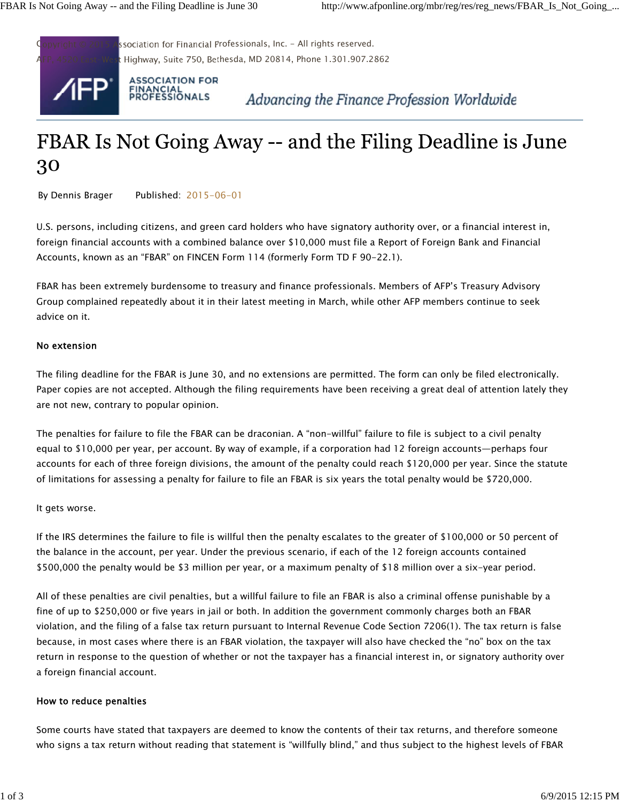

# FBAR Is Not Going Away -- and the Filing Deadline is June 30

By Dennis Brager Published: 2015-06-01

U.S. persons, including citizens, and green card holders who have signatory authority over, or a financial interest in, foreign financial accounts with a combined balance over \$10,000 must file a Report of Foreign Bank and Financial Accounts, known as an "FBAR" on FINCEN Form 114 (formerly Form TD F 90-22.1).

FBAR has been extremely burdensome to treasury and finance professionals. Members of AFP's Treasury Advisory Group complained repeatedly about it in their latest meeting in March, while other AFP members continue to seek advice on it.

### No extension

The filing deadline for the FBAR is June 30, and no extensions are permitted. The form can only be filed electronically. Paper copies are not accepted. Although the filing requirements have been receiving a great deal of attention lately they are not new, contrary to popular opinion.

The penalties for failure to file the FBAR can be draconian. A "non-willful" failure to file is subject to a civil penalty equal to \$10,000 per year, per account. By way of example, if a corporation had 12 foreign accounts—perhaps four accounts for each of three foreign divisions, the amount of the penalty could reach \$120,000 per year. Since the statute of limitations for assessing a penalty for failure to file an FBAR is six years the total penalty would be \$720,000.

### It gets worse.

If the IRS determines the failure to file is willful then the penalty escalates to the greater of \$100,000 or 50 percent of the balance in the account, per year. Under the previous scenario, if each of the 12 foreign accounts contained \$500,000 the penalty would be \$3 million per year, or a maximum penalty of \$18 million over a six-year period.

All of these penalties are civil penalties, but a willful failure to file an FBAR is also a criminal offense punishable by a fine of up to \$250,000 or five years in jail or both. In addition the government commonly charges both an FBAR violation, and the filing of a false tax return pursuant to Internal Revenue Code Section 7206(1). The tax return is false because, in most cases where there is an FBAR violation, the taxpayer will also have checked the "no" box on the tax return in response to the question of whether or not the taxpayer has a financial interest in, or signatory authority over a foreign financial account.

### How to reduce penalties

Some courts have stated that taxpayers are deemed to know the contents of their tax returns, and therefore someone who signs a tax return without reading that statement is "willfully blind," and thus subject to the highest levels of FBAR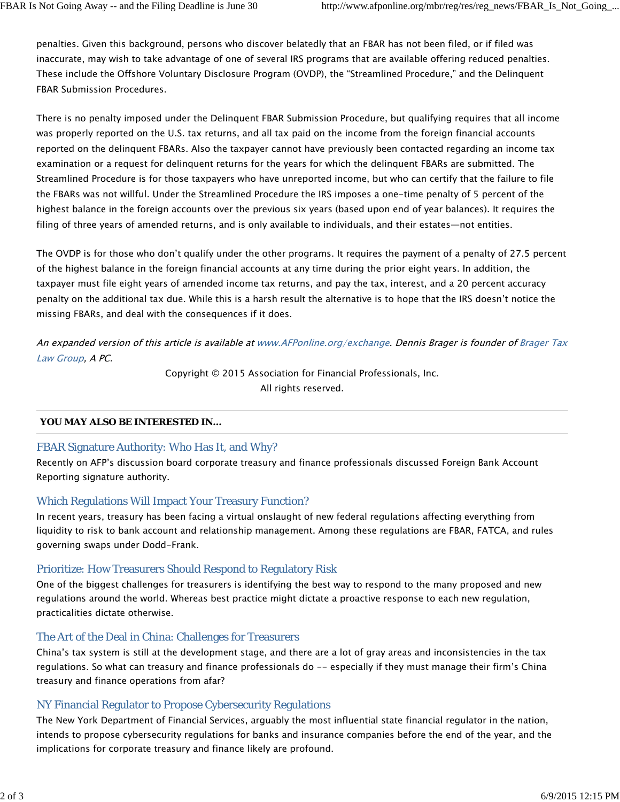penalties. Given this background, persons who discover belatedly that an FBAR has not been filed, or if filed was inaccurate, may wish to take advantage of one of several IRS programs that are available offering reduced penalties. These include the Offshore Voluntary Disclosure Program (OVDP), the "Streamlined Procedure," and the Delinquent FBAR Submission Procedures.

There is no penalty imposed under the Delinquent FBAR Submission Procedure, but qualifying requires that all income was properly reported on the U.S. tax returns, and all tax paid on the income from the foreign financial accounts reported on the delinquent FBARs. Also the taxpayer cannot have previously been contacted regarding an income tax examination or a request for delinquent returns for the years for which the delinquent FBARs are submitted. The Streamlined Procedure is for those taxpayers who have unreported income, but who can certify that the failure to file the FBARs was not willful. Under the Streamlined Procedure the IRS imposes a one-time penalty of 5 percent of the highest balance in the foreign accounts over the previous six years (based upon end of year balances). It requires the filing of three years of amended returns, and is only available to individuals, and their estates—not entities.

The OVDP is for those who don't qualify under the other programs. It requires the payment of a penalty of 27.5 percent of the highest balance in the foreign financial accounts at any time during the prior eight years. In addition, the taxpayer must file eight years of amended income tax returns, and pay the tax, interest, and a 20 percent accuracy penalty on the additional tax due. While this is a harsh result the alternative is to hope that the IRS doesn't notice the missing FBARs, and deal with the consequences if it does.

An expanded version of this article is available at www.AFPonline.org/exchange. Dennis Brager is founder of Brager Tax Law Group, A PC.

> Copyright © 2015 Association for Financial Professionals, Inc. All rights reserved.

# **YOU MAY ALSO BE INTERESTED IN...**

# FBAR Signature Authority: Who Has It, and Why?

Recently on AFP's discussion board corporate treasury and finance professionals discussed Foreign Bank Account Reporting signature authority.

# Which Regulations Will Impact Your Treasury Function?

In recent years, treasury has been facing a virtual onslaught of new federal regulations affecting everything from liquidity to risk to bank account and relationship management. Among these regulations are FBAR, FATCA, and rules governing swaps under Dodd-Frank.

# Prioritize: How Treasurers Should Respond to Regulatory Risk

One of the biggest challenges for treasurers is identifying the best way to respond to the many proposed and new regulations around the world. Whereas best practice might dictate a proactive response to each new regulation, practicalities dictate otherwise.

### The Art of the Deal in China: Challenges for Treasurers

China's tax system is still at the development stage, and there are a lot of gray areas and inconsistencies in the tax regulations. So what can treasury and finance professionals do -- especially if they must manage their firm's China treasury and finance operations from afar?

# NY Financial Regulator to Propose Cybersecurity Regulations

The New York Department of Financial Services, arguably the most influential state financial regulator in the nation, intends to propose cybersecurity regulations for banks and insurance companies before the end of the year, and the implications for corporate treasury and finance likely are profound.